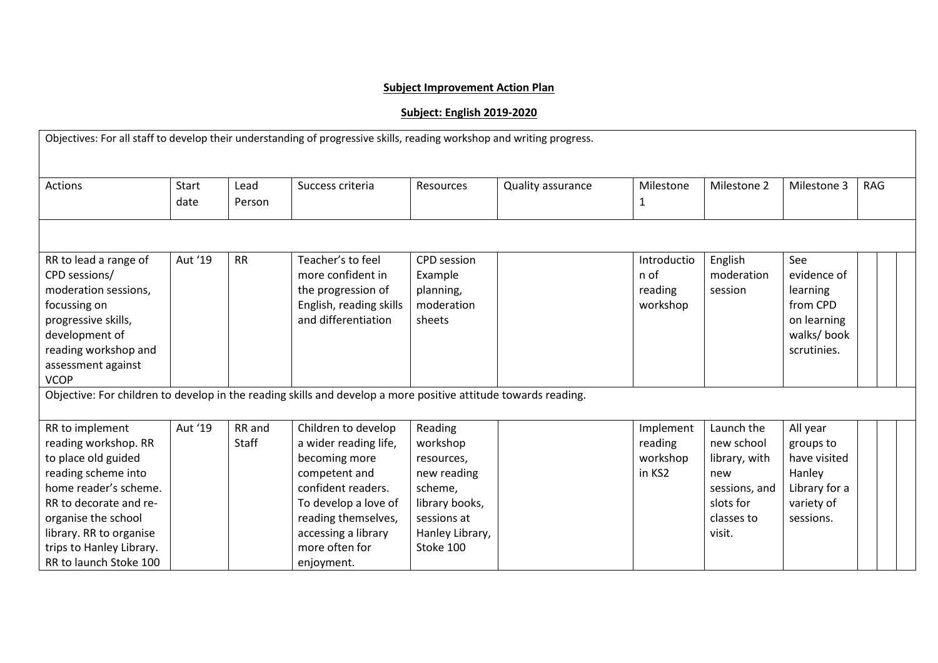## **Subject Improvement Action Plan**

## **Subject: English 2019-2020**

| Objectives: For all staff to develop their understanding of progressive skills, reading workshop and writing progress.                                                                                                                           |               |                 |                                                                                                                                                                                                            |                                                                                                                              |                   |                                            |                                                                                                        |                                                                                             |            |  |
|--------------------------------------------------------------------------------------------------------------------------------------------------------------------------------------------------------------------------------------------------|---------------|-----------------|------------------------------------------------------------------------------------------------------------------------------------------------------------------------------------------------------------|------------------------------------------------------------------------------------------------------------------------------|-------------------|--------------------------------------------|--------------------------------------------------------------------------------------------------------|---------------------------------------------------------------------------------------------|------------|--|
| <b>Actions</b>                                                                                                                                                                                                                                   | Start<br>date | Lead<br>Person  | Success criteria                                                                                                                                                                                           | <b>Resources</b>                                                                                                             | Quality assurance | Milestone<br>1                             | Milestone 2                                                                                            | Milestone 3                                                                                 | <b>RAG</b> |  |
|                                                                                                                                                                                                                                                  |               |                 |                                                                                                                                                                                                            |                                                                                                                              |                   |                                            |                                                                                                        |                                                                                             |            |  |
| RR to lead a range of<br>CPD sessions/<br>moderation sessions,<br>focussing on<br>progressive skills,<br>development of<br>reading workshop and<br>assessment against<br><b>VCOP</b>                                                             | Aut '19       | <b>RR</b>       | Teacher's to feel<br>more confident in<br>the progression of<br>English, reading skills<br>and differentiation                                                                                             | <b>CPD</b> session<br>Example<br>planning,<br>moderation<br>sheets                                                           |                   | Introductio<br>n of<br>reading<br>workshop | English<br>moderation<br>session                                                                       | See<br>evidence of<br>learning<br>from CPD<br>on learning<br>walks/ book<br>scrutinies.     |            |  |
| Objective: For children to develop in the reading skills and develop a more positive attitude towards reading.                                                                                                                                   |               |                 |                                                                                                                                                                                                            |                                                                                                                              |                   |                                            |                                                                                                        |                                                                                             |            |  |
| RR to implement<br>reading workshop. RR<br>to place old guided<br>reading scheme into<br>home reader's scheme.<br>RR to decorate and re-<br>organise the school<br>library. RR to organise<br>trips to Hanley Library.<br>RR to launch Stoke 100 | Aut '19       | RR and<br>Staff | Children to develop<br>a wider reading life,<br>becoming more<br>competent and<br>confident readers.<br>To develop a love of<br>reading themselves,<br>accessing a library<br>more often for<br>enjoyment. | Reading<br>workshop<br>resources,<br>new reading<br>scheme,<br>library books,<br>sessions at<br>Hanley Library,<br>Stoke 100 |                   | Implement<br>reading<br>workshop<br>in KS2 | Launch the<br>new school<br>library, with<br>new<br>sessions, and<br>slots for<br>classes to<br>visit. | All year<br>groups to<br>have visited<br>Hanley<br>Library for a<br>variety of<br>sessions. |            |  |